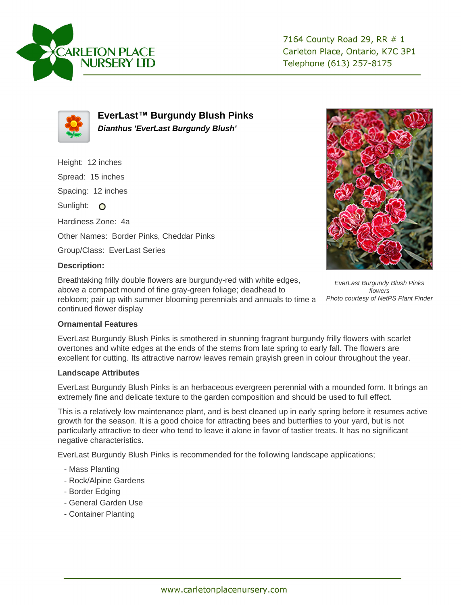



**EverLast™ Burgundy Blush Pinks Dianthus 'EverLast Burgundy Blush'**

Height: 12 inches Spread: 15 inches Spacing: 12 inches Sunlight: O Hardiness Zone: 4a Other Names: Border Pinks, Cheddar Pinks Group/Class: EverLast Series



Breathtaking frilly double flowers are burgundy-red with white edges, above a compact mound of fine gray-green foliage; deadhead to rebloom; pair up with summer blooming perennials and annuals to time a continued flower display



EverLast Burgundy Blush Pinks flowers Photo courtesy of NetPS Plant Finder

## **Ornamental Features**

EverLast Burgundy Blush Pinks is smothered in stunning fragrant burgundy frilly flowers with scarlet overtones and white edges at the ends of the stems from late spring to early fall. The flowers are excellent for cutting. Its attractive narrow leaves remain grayish green in colour throughout the year.

## **Landscape Attributes**

EverLast Burgundy Blush Pinks is an herbaceous evergreen perennial with a mounded form. It brings an extremely fine and delicate texture to the garden composition and should be used to full effect.

This is a relatively low maintenance plant, and is best cleaned up in early spring before it resumes active growth for the season. It is a good choice for attracting bees and butterflies to your yard, but is not particularly attractive to deer who tend to leave it alone in favor of tastier treats. It has no significant negative characteristics.

EverLast Burgundy Blush Pinks is recommended for the following landscape applications;

- Mass Planting
- Rock/Alpine Gardens
- Border Edging
- General Garden Use
- Container Planting